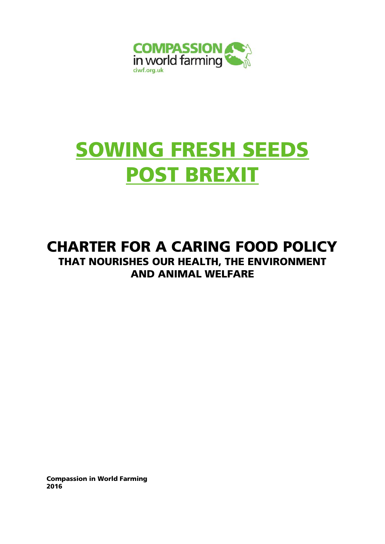

# SOWING FRESH SEEDS POST BREXIT

# CHARTER FOR A CARING FOOD POLICY THAT NOURISHES OUR HEALTH, THE ENVIRONMENT AND ANIMAL WELFARE

Compassion in World Farming 2016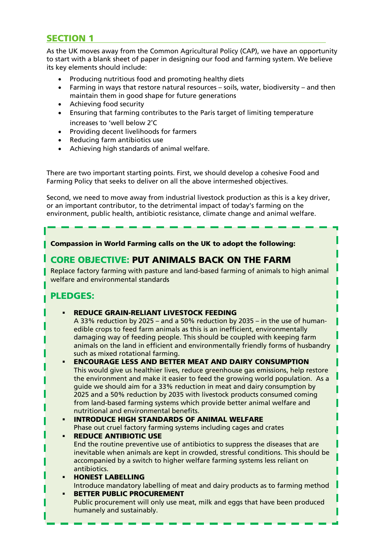# SECTION 1

As the UK moves away from the Common Agricultural Policy (CAP), we have an opportunity to start with a blank sheet of paper in designing our food and farming system. We believe its key elements should include:

- Producing nutritious food and promoting healthy diets
- **•** Farming in ways that restore natural resources  $-$  soils, water, biodiversity  $-$  and then maintain them in good shape for future generations
- Achieving food security
- Ensuring that farming contributes to the Paris target of limiting temperature increases to 'well below 2°C
- Providing decent livelihoods for farmers
- Reducing farm antibiotics use
- Achieving high standards of animal welfare.

There are two important starting points. First, we should develop a cohesive Food and Farming Policy that seeks to deliver on all the above intermeshed objectives.

Second, we need to move away from industrial livestock production as this is a key driver, or an important contributor, to the detrimental impact of today's farming on the environment, public health, antibiotic resistance, climate change and animal welfare.

# Compassion in World Farming calls on the UK to adopt the following:

# CORE OBJECTIVE: PUT ANIMALS BACK ON THE FARM

Replace factory farming with pasture and land-based farming of animals to high animal welfare and environmental standards

# PLEDGES:

REDUCE GRAIN-RELIANT LIVESTOCK FEEDING

A 33% reduction by 2025 – and a 50% reduction by 2035 – in the use of humanedible crops to feed farm animals as this is an inefficient, environmentally damaging way of feeding people. This should be coupled with keeping farm animals on the land in efficient and environmentally friendly forms of husbandry such as mixed rotational farming.

- ENCOURAGE LESS AND BETTER MEAT AND DAIRY CONSUMPTION This would give us healthier lives, reduce greenhouse gas emissions, help restore the environment and make it easier to feed the growing world population. As a guide we should aim for a 33% reduction in meat and dairy consumption by 2025 and a 50% reduction by 2035 with livestock products consumed coming from land-based farming systems which provide better animal welfare and nutritional and environmental benefits.
- INTRODUCE HIGH STANDARDS OF ANIMAL WELFARE Phase out cruel factory farming systems including cages and crates
- REDUCE ANTIBIOTIC USE

End the routine preventive use of antibiotics to suppress the diseases that are inevitable when animals are kept in crowded, stressful conditions. This should be accompanied by a switch to higher welfare farming systems less reliant on antibiotics.

 HONEST LABELLING Introduce mandatory labelling of meat and dairy products as to farming method

2

 BETTER PUBLIC PROCUREMENT Public procurement will only use meat, milk and eggs that have been produced humanely and sustainably.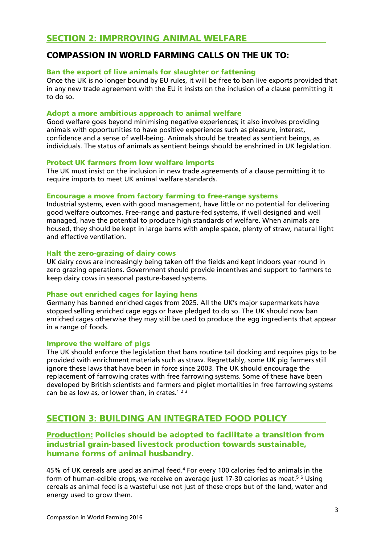# COMPASSION IN WORLD FARMING CALLS ON THE UK TO:

# Ban the export of live animals for slaughter or fattening

Once the UK is no longer bound by EU rules, it will be free to ban live exports provided that in any new trade agreement with the EU it insists on the inclusion of a clause permitting it to do so.

# Adopt a more ambitious approach to animal welfare

Good welfare goes beyond minimising negative experiences; it also involves providing animals with opportunities to have positive experiences such as pleasure, interest, confidence and a sense of well-being. Animals should be treated as sentient beings, as individuals. The status of animals as sentient beings should be enshrined in UK legislation.

# Protect UK farmers from low welfare imports

The UK must insist on the inclusion in new trade agreements of a clause permitting it to require imports to meet UK animal welfare standards.

## Encourage a move from factory farming to free-range systems

Industrial systems, even with good management, have little or no potential for delivering good welfare outcomes. Free-range and pasture-fed systems, if well designed and well managed, have the potential to produce high standards of welfare. When animals are housed, they should be kept in large barns with ample space, plenty of straw, natural light and effective ventilation.

## Halt the zero-grazing of dairy cows

UK dairy cows are increasingly being taken off the fields and kept indoors year round in zero grazing operations. Government should provide incentives and support to farmers to keep dairy cows in seasonal pasture-based systems.

## Phase out enriched cages for laying hens

Germany has banned enriched cages from 2025. All the UK's major supermarkets have stopped selling enriched cage eggs or have pledged to do so. The UK should now ban enriched cages otherwise they may still be used to produce the egg ingredients that appear in a range of foods.

## Improve the welfare of pigs

The UK should enforce the legislation that bans routine tail docking and requires pigs to be provided with enrichment materials such as straw. Regrettably, some UK pig farmers still ignore these laws that have been in force since 2003. The UK should encourage the replacement of farrowing crates with free farrowing systems. Some of these have been developed by British scientists and farmers and piglet mortalities in free farrowing systems can be as low as, or lower than, in crates.<sup>123</sup>

# SECTION 3: BUILDING AN INTEGRATED FOOD POLICY

# Production: Policies should be adopted to facilitate a transition from industrial grain-based livestock production towards sustainable, humane forms of animal husbandry.

45% of UK cereals are used as animal feed.4 For every 100 calories fed to animals in the form of human-edible crops, we receive on average just 17-30 calories as meat.<sup>56</sup> Using cereals as animal feed is a wasteful use not just of these crops but of the land, water and energy used to grow them.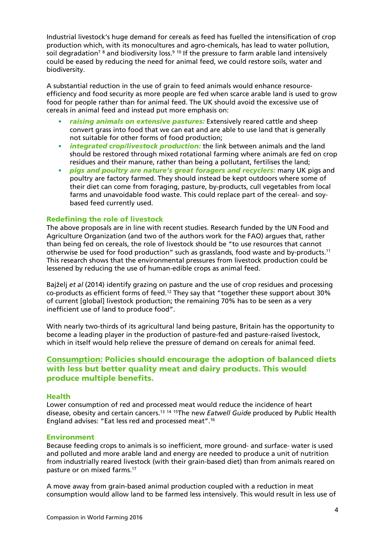Industrial livestock's huge demand for cereals as feed has fuelled the intensification of crop production which, with its monocultures and agro-chemicals, has lead to water pollution, soil degradation<sup>7</sup> 8 and biodiversity loss.<sup>9 10</sup> If the pressure to farm arable land intensively could be eased by reducing the need for animal feed, we could restore soils, water and biodiversity.

A substantial reduction in the use of grain to feed animals would enhance resourceefficiency and food security as more people are fed when scarce arable land is used to grow food for people rather than for animal feed. The UK should avoid the excessive use of cereals in animal feed and instead put more emphasis on:

- *• raising animals on extensive pastures:* Extensively reared cattle and sheep convert grass into food that we can eat and are able to use land that is generally not suitable for other forms of food production;
- *• integrated crop/livestock production:* the link between animals and the land should be restored through mixed rotational farming where animals are fed on crop residues and their manure, rather than being a pollutant, fertilises the land;
- *• pigs and poultry are nature's great foragers and recyclers:* many UK pigs and poultry are factory farmed. They should instead be kept outdoors where some of their diet can come from foraging, pasture, by-products, cull vegetables from local farms and unavoidable food waste. This could replace part of the cereal- and soybased feed currently used.

## Redefining the role of livestock

The above proposals are in line with recent studies. Research funded by the UN Food and Agriculture Organization (and two of the authors work for the FAO) argues that, rather than being fed on cereals, the role of livestock should be "to use resources that cannot otherwise be used for food production" such as grasslands, food waste and by-products.11 This research shows that the environmental pressures from livestock production could be lessened by reducing the use of human-edible crops as animal feed.

Bajželj *et al* (2014) identify grazing on pasture and the use of crop residues and processing co-products as efficient forms of feed.12 They say that "together these support about 30% of current [global] livestock production; the remaining 70% has to be seen as a very inefficient use of land to produce food".

With nearly two-thirds of its agricultural land being pasture, Britain has the opportunity to become a leading player in the production of pasture-fed and pasture-raised livestock, which in itself would help relieve the pressure of demand on cereals for animal feed.

# Consumption: Policies should encourage the adoption of balanced diets with less but better quality meat and dairy products. This would produce multiple benefits.

## Health

Lower consumption of red and processed meat would reduce the incidence of heart disease, obesity and certain cancers.13 <sup>14</sup> 15The new *Eatwell Guide* produced by Public Health England advises: "Eat less red and processed meat".16

#### Environment

Because feeding crops to animals is so inefficient, more ground- and surface- water is used and polluted and more arable land and energy are needed to produce a unit of nutrition from industrially reared livestock (with their grain-based diet) than from animals reared on pasture or on mixed farms.17

A move away from grain-based animal production coupled with a reduction in meat consumption would allow land to be farmed less intensively. This would result in less use of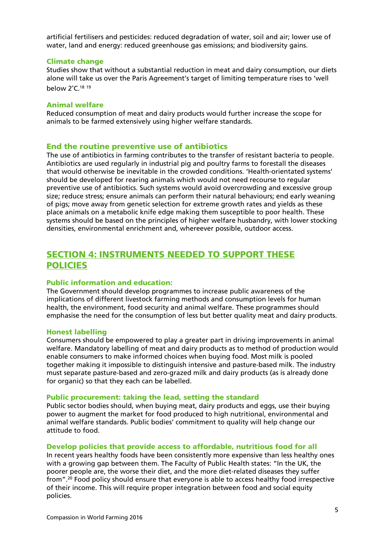artificial fertilisers and pesticides: reduced degradation of water, soil and air; lower use of water, land and energy: reduced greenhouse gas emissions; and biodiversity gains.

#### Climate change

Studies show that without a substantial reduction in meat and dairy consumption, our diets alone will take us over the Paris Agreement's target of limiting temperature rises to 'well below 2°C.18 <sup>19</sup>

# Animal welfare

Reduced consumption of meat and dairy products would further increase the scope for animals to be farmed extensively using higher welfare standards.

# End the routine preventive use of antibiotics

The use of antibiotics in farming contributes to the transfer of resistant bacteria to people. Antibiotics are used regularly in industrial pig and poultry farms to forestall the diseases that would otherwise be inevitable in the crowded conditions. 'Health-orientated systems' should be developed for rearing animals which would not need recourse to regular preventive use of antibiotics. Such systems would avoid overcrowding and excessive group size; reduce stress; ensure animals can perform their natural behaviours; end early weaning of pigs; move away from genetic selection for extreme growth rates and yields as these place animals on a metabolic knife edge making them susceptible to poor health. These systems should be based on the principles of higher welfare husbandry, with lower stocking densities, environmental enrichment and, whereever possible, outdoor access.

# SECTION 4: INSTRUMENTS NEEDED TO SUPPORT THESE POLICIES

# Public information and education:

The Government should develop programmes to increase public awareness of the implications of different livestock farming methods and consumption levels for human health, the environment, food security and animal welfare. These programmes should emphasise the need for the consumption of less but better quality meat and dairy products.

#### Honest labelling

Consumers should be empowered to play a greater part in driving improvements in animal welfare. Mandatory labelling of meat and dairy products as to method of production would enable consumers to make informed choices when buying food. Most milk is pooled together making it impossible to distinguish intensive and pasture-based milk. The industry must separate pasture-based and zero-grazed milk and dairy products (as is already done for organic) so that they each can be labelled.

#### Public procurement: taking the lead, setting the standard

Public sector bodies should, when buying meat, dairy products and eggs, use their buying power to augment the market for food produced to high nutritional, environmental and animal welfare standards. Public bodies' commitment to quality will help change our attitude to food.

## Develop policies that provide access to affordable, nutritious food for all

In recent years healthy foods have been consistently more expensive than less healthy ones with a growing gap between them. The Faculty of Public Health states: "In the UK, the poorer people are, the worse their diet, and the more diet-related diseases they suffer from".20 Food policy should ensure that everyone is able to access healthy food irrespective of their income. This will require proper integration between food and social equity policies.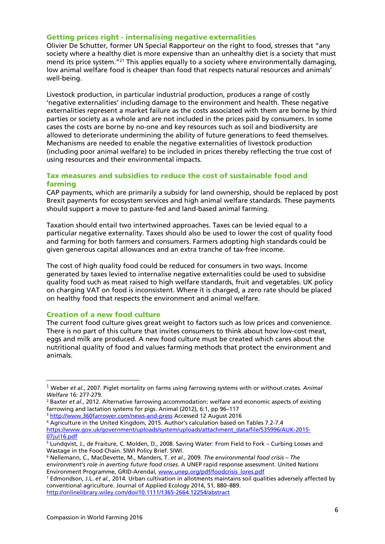# Getting prices right - internalising negative externalities

Olivier De Schutter, former UN Special Rapporteur on the right to food, stresses that "any society where a healthy diet is more expensive than an unhealthy diet is a society that must mend its price system."21 This applies equally to a society where environmentally damaging, low animal welfare food is cheaper than food that respects natural resources and animals' well-being.

Livestock production, in particular industrial production, produces a range of costly 'negative externalities' including damage to the environment and health. These negative externalities represent a market failure as the costs associated with them are borne by third parties or society as a whole and are not included in the prices paid by consumers. In some cases the costs are borne by no-one and key resources such as soil and biodiversity are allowed to deteriorate undermining the ability of future generations to feed themselves. Mechanisms are needed to enable the negative externalities of livestock production (including poor animal welfare) to be included in prices thereby reflecting the true cost of using resources and their environmental impacts.

# Tax measures and subsidies to reduce the cost of sustainable food and farming

CAP payments, which are primarily a subsidy for land ownership, should be replaced by post Brexit payments for ecosystem services and high animal welfare standards. These payments should support a move to pasture-fed and land-based animal farming.

Taxation should entail two intertwined approaches. Taxes can be levied equal to a particular negative externality. Taxes should also be used to lower the cost of quality food and farming for both farmers and consumers. Farmers adopting high standards could be given generous capital allowances and an extra tranche of tax-free income.

The cost of high quality food could be reduced for consumers in two ways. Income generated by taxes levied to internalise negative externalities could be used to subsidise quality food such as meat raised to high welfare standards, fruit and vegetables. UK policy on charging VAT on food is inconsistent. Where it is charged, a zero rate should be placed on healthy food that respects the environment and animal welfare.

# Creation of a new food culture

1

The current food culture gives great weight to factors such as low prices and convenience. There is no part of this culture that invites consumers to think about how low-cost meat, eggs and milk are produced. A new food culture must be created which cares about the nutritional quality of food and values farming methods that protect the environment and animals.

- <sup>3</sup> http://www.360farrower.com/news-and-press Accessed 12 August 2016<br><sup>4</sup> Agriculture in the United Kingdom, 2015. Author's calculation based on Tables 7.2-7.4
- https://www.gov.uk/government/uploads/system/uploads/attachment\_data/file/535996/AUK-2015- 07jul16.pdf

<sup>1</sup> Weber *et al.*, 2007. Piglet mortality on farms using farrowing systems with or without crates. *Animal* 

*Welfare* 16: 277-279.<br><sup>2</sup> Baxter *et al.*, 2012. Alternative farrowing accommodation: welfare and economic aspects of existing farrowing and lactation systems for pigs. Animal (2012), 6:1, pp 96–117

<sup>&</sup>lt;sup>5</sup> Lundqvist, J., de Fraiture, C. Molden, D., 2008. Saving Water: From Field to Fork – Curbing Losses and Wastage in the Food Chain. SIWI Policy Brief. SIWI.

<sup>6</sup> Nellemann, C., MacDevette, M., Manders, T. *et al*., 2009. *The environmental food crisis – The environment's role in averting future food crises*. A UNEP rapid response assessment. United Nations Environment Programme, GRID-Arendal, www.unep.org/pdf/foodcrisis\_lores.pdf

<sup>7</sup> Edmondson, J.L. *et al.*, 2014. Urban cultivation in allotments maintains soil qualities adversely affected by conventional agriculture. Journal of Applied Ecology 2014, 51, 880–889.